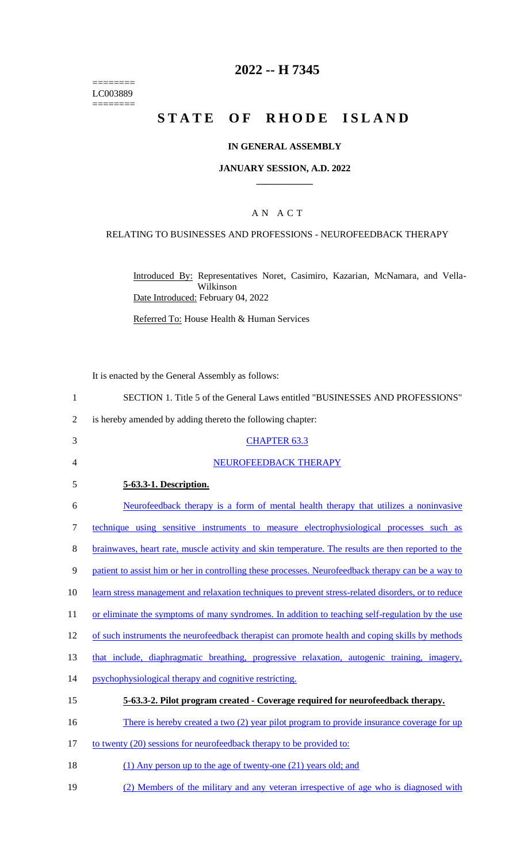======== LC003889  $=$ 

# **2022 -- H 7345**

# **STATE OF RHODE ISLAND**

### **IN GENERAL ASSEMBLY**

#### **JANUARY SESSION, A.D. 2022 \_\_\_\_\_\_\_\_\_\_\_\_**

#### A N A C T

### RELATING TO BUSINESSES AND PROFESSIONS - NEUROFEEDBACK THERAPY

Introduced By: Representatives Noret, Casimiro, Kazarian, McNamara, and Vella-Wilkinson Date Introduced: February 04, 2022

Referred To: House Health & Human Services

It is enacted by the General Assembly as follows:

| $\mathbf{1}$   | SECTION 1. Title 5 of the General Laws entitled "BUSINESSES AND PROFESSIONS"                        |
|----------------|-----------------------------------------------------------------------------------------------------|
| $\overline{2}$ | is hereby amended by adding thereto the following chapter:                                          |
| 3              | <b>CHAPTER 63.3</b>                                                                                 |
| 4              | NEUROFEEDBACK THERAPY                                                                               |
| 5              | 5-63.3-1. Description.                                                                              |
| 6              | Neurofeedback therapy is a form of mental health therapy that utilizes a noninvasive                |
| 7              | technique using sensitive instruments to measure electrophysiological processes such as             |
| 8              | brainwaves, heart rate, muscle activity and skin temperature. The results are then reported to the  |
| 9              | patient to assist him or her in controlling these processes. Neurofeedback therapy can be a way to  |
| 10             | learn stress management and relaxation techniques to prevent stress-related disorders, or to reduce |
| 11             | or eliminate the symptoms of many syndromes. In addition to teaching self-regulation by the use     |
| 12             | of such instruments the neurofeedback therapist can promote health and coping skills by methods     |
| 13             | that include, diaphragmatic breathing, progressive relaxation, autogenic training, imagery,         |
| 14             | psychophysiological therapy and cognitive restricting.                                              |
| 15             | 5-63.3-2. Pilot program created - Coverage required for neurofeedback therapy.                      |
| 16             | There is hereby created a two (2) year pilot program to provide insurance coverage for up           |
| 17             | to twenty (20) sessions for neurofeedback therapy to be provided to:                                |
| 18             | (1) Any person up to the age of twenty-one (21) years old; and                                      |
|                |                                                                                                     |

19 (2) Members of the military and any veteran irrespective of age who is diagnosed with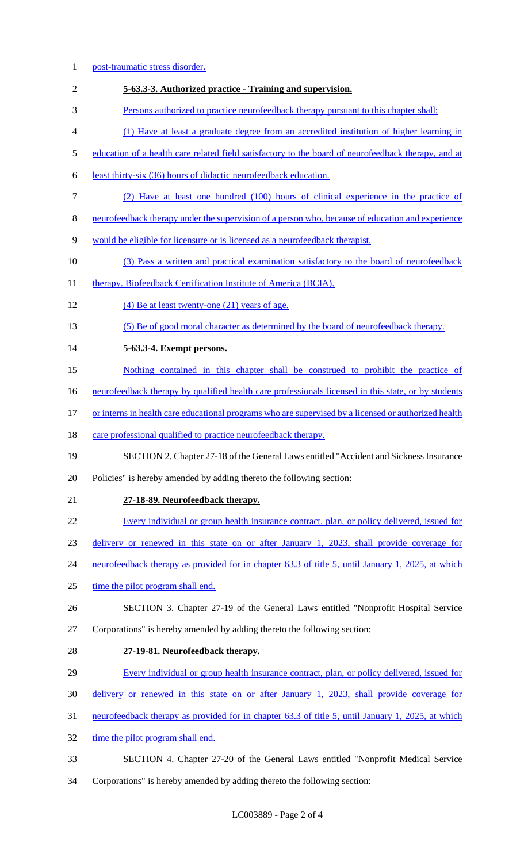post-traumatic stress disorder. **5-63.3-3. Authorized practice - Training and supervision.**  Persons authorized to practice neurofeedback therapy pursuant to this chapter shall: (1) Have at least a graduate degree from an accredited institution of higher learning in education of a health care related field satisfactory to the board of neurofeedback therapy, and at least thirty-six (36) hours of didactic neurofeedback education. (2) Have at least one hundred (100) hours of clinical experience in the practice of neurofeedback therapy under the supervision of a person who, because of education and experience would be eligible for licensure or is licensed as a neurofeedback therapist. (3) Pass a written and practical examination satisfactory to the board of neurofeedback 11 therapy. Biofeedback Certification Institute of America (BCIA). (4) Be at least twenty-one (21) years of age. (5) Be of good moral character as determined by the board of neurofeedback therapy. **5-63.3-4. Exempt persons.**  Nothing contained in this chapter shall be construed to prohibit the practice of neurofeedback therapy by qualified health care professionals licensed in this state, or by students 17 or interns in health care educational programs who are supervised by a licensed or authorized health 18 care professional qualified to practice neurofeedback therapy. SECTION 2. Chapter 27-18 of the General Laws entitled "Accident and Sickness Insurance Policies" is hereby amended by adding thereto the following section: **27-18-89. Neurofeedback therapy.**  Every individual or group health insurance contract, plan, or policy delivered, issued for delivery or renewed in this state on or after January 1, 2023, shall provide coverage for neurofeedback therapy as provided for in chapter 63.3 of title 5, until January 1, 2025, at which 25 time the pilot program shall end. SECTION 3. Chapter 27-19 of the General Laws entitled "Nonprofit Hospital Service Corporations" is hereby amended by adding thereto the following section: **27-19-81. Neurofeedback therapy.**  Every individual or group health insurance contract, plan, or policy delivered, issued for delivery or renewed in this state on or after January 1, 2023, shall provide coverage for neurofeedback therapy as provided for in chapter 63.3 of title 5, until January 1, 2025, at which 32 time the pilot program shall end. SECTION 4. Chapter 27-20 of the General Laws entitled "Nonprofit Medical Service Corporations" is hereby amended by adding thereto the following section: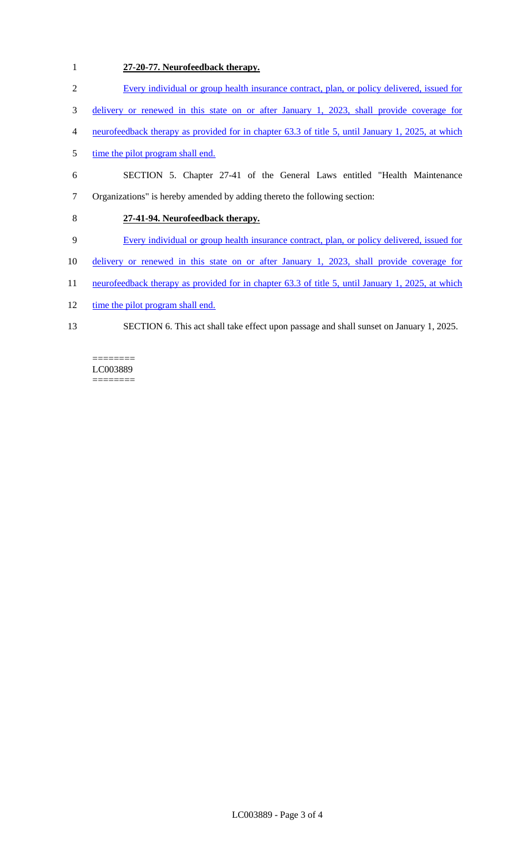# 1 **27-20-77. Neurofeedback therapy.**

- 2 Every individual or group health insurance contract, plan, or policy delivered, issued for
- 3 delivery or renewed in this state on or after January 1, 2023, shall provide coverage for
- 4 neurofeedback therapy as provided for in chapter 63.3 of title 5, until January 1, 2025, at which
- 5 time the pilot program shall end.
- 6 SECTION 5. Chapter 27-41 of the General Laws entitled "Health Maintenance 7 Organizations" is hereby amended by adding thereto the following section:

# 8 **27-41-94. Neurofeedback therapy.**

- 9 Every individual or group health insurance contract, plan, or policy delivered, issued for
- 10 delivery or renewed in this state on or after January 1, 2023, shall provide coverage for
- 11 neurofeedback therapy as provided for in chapter 63.3 of title 5, until January 1, 2025, at which
- 12 time the pilot program shall end.
- 13 SECTION 6. This act shall take effect upon passage and shall sunset on January 1, 2025.

LC003889  $=$ 

 $=$